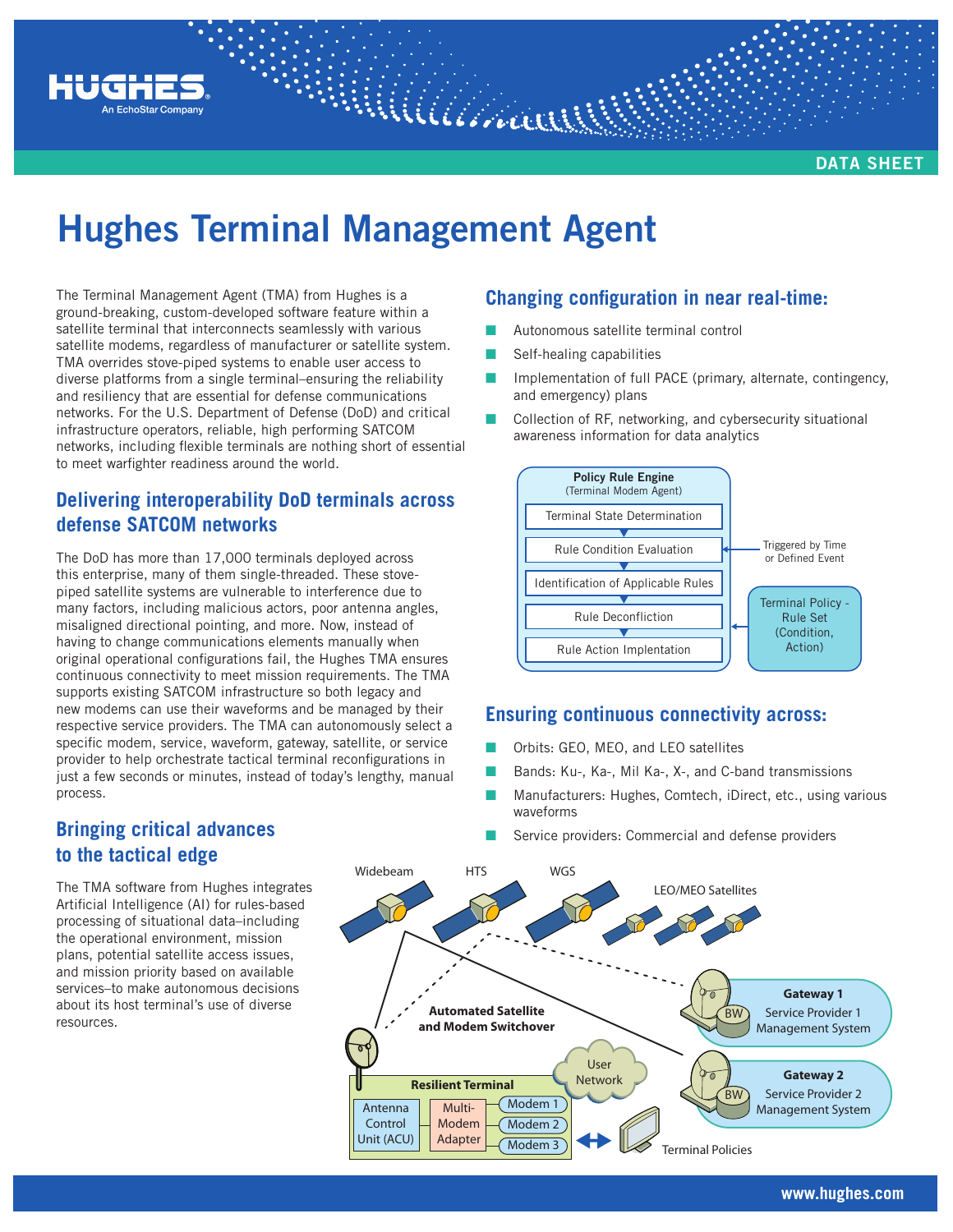

**DATA SHEET**

# **Hughes Terminal Management Agent**

The Terminal Management Agent (TMA) from Hughes is a ground-breaking, custom-developed software feature within a satellite terminal that interconnects seamlessly with various satellite modems, regardless of manufacturer or satellite system. TMA overrides stove-piped systems to enable user access to diverse platforms from a single terminal–ensuring the reliability and resiliency that are essential for defense communications networks. For the U.S. Department of Defense (DoD) and critical infrastructure operators, reliable, high performing SATCOM networks, including flexible terminals are nothing short of essential to meet warfighter readiness around the world.

## **Delivering interoperability DoD terminals across defense SATCOM networks**

The DoD has more than 17,000 terminals deployed across this enterprise, many of them single-threaded. These stovepiped satellite systems are vulnerable to interference due to many factors, including malicious actors, poor antenna angles, misaligned directional pointing, and more. Now, instead of having to change communications elements manually when original operational configurations fail, the Hughes TMA ensures continuous connectivity to meet mission requirements. The TMA supports existing SATCOM infrastructure so both legacy and new modems can use their waveforms and be managed by their respective service providers. The TMA can autonomously select a specific modem, service, waveform, gateway, satellite, or service provider to help orchestrate tactical terminal reconfigurations in just a few seconds or minutes, instead of today's lengthy, manual process.

## **Changing configuration in near real-time:**

- Autonomous satellite terminal control
- Self-healing capabilities
- Implementation of full PACE (primary, alternate, contingency, and emergency) plans
- Collection of RF, networking, and cybersecurity situational awareness information for data analytics



#### **Ensuring continuous connectivity across:**

- Orbits: GEO, MEO, and LEO satellites
- Bands: Ku-, Ka-, Mil Ka-, X-, and C-band transmissions
- Manufacturers: Hughes, Comtech, iDirect, etc., using various waveforms
- Service providers: Commercial and defense providers

# **Bringing critical advances to the tactical edge**

The TMA software from Hughes integrates Artificial Intelligence (AI) for rules-based processing of situational data–including the operational environment, mission plans, potential satellite access issues, and mission priority based on available services–to make autonomous decisions about its host terminal's use of diverse resources.